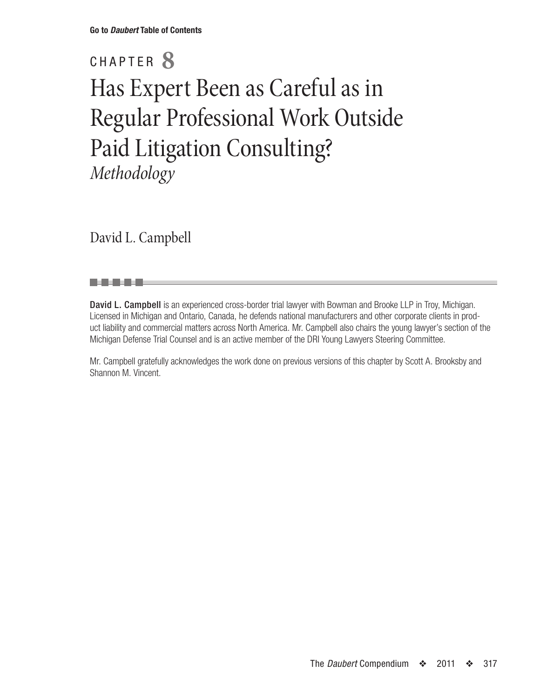# CHAPTER **8** Has Expert Been as Careful as in Regular Professional Work Outside Paid Litigation Consulting? *Methodology*

David L. Campbell

. . . .

David L. Campbell is an experienced cross-border trial lawyer with Bowman and Brooke LLP in Troy, Michigan. Licensed in Michigan and Ontario, Canada, he defends national manufacturers and other corporate clients in product liability and commercial matters across North America. Mr. Campbell also chairs the young lawyer's section of the Michigan Defense Trial Counsel and is an active member of the DRI Young Lawyers Steering Committee.

Mr. Campbell gratefully acknowledges the work done on previous versions of this chapter by Scott A. Brooksby and Shannon M. Vincent.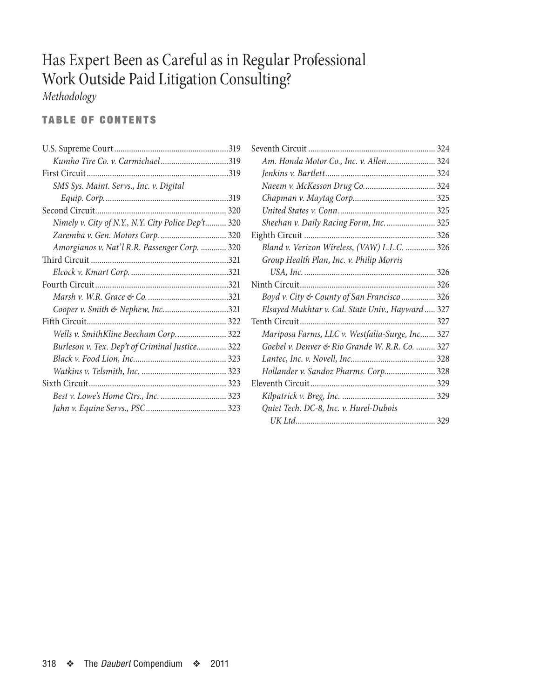# Has Expert Been as Careful as in Regular Professional Work Outside Paid Litigation Consulting?

*Methodology*

# TABLE OF CONTENTS

| Kumho Tire Co. v. Carmichael319                    |  |
|----------------------------------------------------|--|
|                                                    |  |
| SMS Sys. Maint. Servs., Inc. v. Digital            |  |
|                                                    |  |
|                                                    |  |
| Nimely v. City of N.Y., N.Y. City Police Dep't 320 |  |
| Zaremba v. Gen. Motors Corp.  320                  |  |
| Amorgianos v. Nat'l R.R. Passenger Corp.  320      |  |
|                                                    |  |
|                                                    |  |
|                                                    |  |
|                                                    |  |
| Cooper v. Smith & Nephew, Inc321                   |  |
|                                                    |  |
| Wells v. SmithKline Beecham Corp 322               |  |
| Burleson v. Tex. Dep't of Criminal Justice 322     |  |
|                                                    |  |
|                                                    |  |
|                                                    |  |
|                                                    |  |
|                                                    |  |
|                                                    |  |

| Am. Honda Motor Co., Inc. v. Allen 324            |  |
|---------------------------------------------------|--|
|                                                   |  |
|                                                   |  |
|                                                   |  |
|                                                   |  |
| Sheehan v. Daily Racing Form, Inc.  325           |  |
|                                                   |  |
| Bland v. Verizon Wireless, (VAW) L.L.C.  326      |  |
| Group Health Plan, Inc. v. Philip Morris          |  |
|                                                   |  |
|                                                   |  |
| Boyd v. City & County of San Francisco 326        |  |
| Elsayed Mukhtar v. Cal. State Univ., Hayward  327 |  |
|                                                   |  |
| Mariposa Farms, LLC v. Westfalia-Surge, Inc 327   |  |
| Goebel v. Denver & Rio Grande W. R.R. Co.  327    |  |
|                                                   |  |
| Hollander v. Sandoz Pharms. Corp 328              |  |
|                                                   |  |
|                                                   |  |
| Quiet Tech. DC-8, Inc. v. Hurel-Dubois            |  |
|                                                   |  |
|                                                   |  |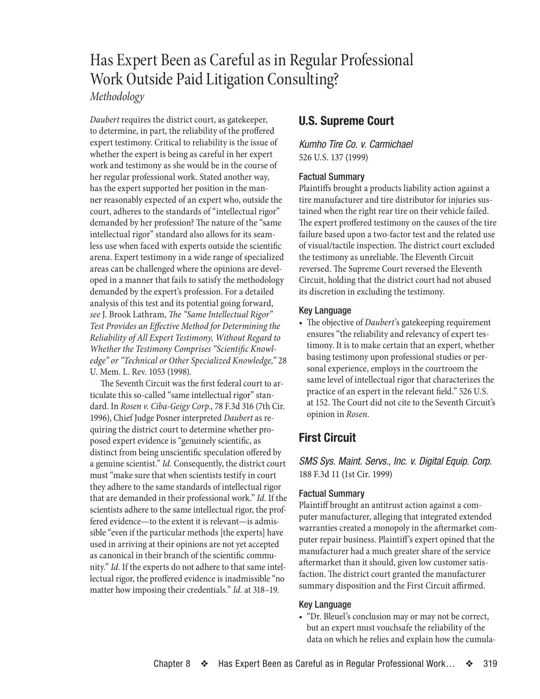# <span id="page-2-0"></span>Has Expert Been as Careful as in Regular Professional Work Outside Paid Litigation Consulting?

# *Methodology*

*Daubert* requires the district court, as gatekeeper, to determine, in part, the reliability of the proffered expert testimony. Critical to reliability is the issue of whether the expert is being as careful in her expert work and testimony as she would be in the course of her regular professional work. Stated another way, has the expert supported her position in the manner reasonably expected of an expert who, outside the court, adheres to the standards of "intellectual rigor" demanded by her profession? The nature of the "same intellectual rigor" standard also allows for its seamless use when faced with experts outside the scientific arena. Expert testimony in a wide range of specialized areas can be challenged where the opinions are developed in a manner that fails to satisfy the methodology demanded by the expert's profession. For a detailed analysis of this test and its potential going forward, *see* J. Brook Lathram, *The "Same Intellectual Rigor" Test Provides an Effective Method for Determining the Reliability of All Expert Testimony, Without Regard to Whether the Testimony Comprises "Scientific Knowledge" or "Technical or Other Specialized Knowledge,"* 28 U. Mem. L. Rev. 1053 (1998).

The Seventh Circuit was the first federal court to articulate this so-called "same intellectual rigor" standard. In *Rosen v. Ciba-Geigy Corp.*, 78 F.3d 316 (7th Cir. 1996), Chief Judge Posner interpreted *Daubert* as requiring the district court to determine whether proposed expert evidence is "genuinely scientific, as distinct from being unscientific speculation offered by a genuine scientist." *Id.* Consequently, the district court must "make sure that when scientists testify in court they adhere to the same standards of intellectual rigor that are demanded in their professional work." *Id.* If the scientists adhere to the same intellectual rigor, the proffered evidence—to the extent it is relevant—is admissible "even if the particular methods [the experts] have used in arriving at their opinions are not yet accepted as canonical in their branch of the scientific community." *Id.* If the experts do not adhere to that same intellectual rigor, the proffered evidence is inadmissible "no matter how imposing their credentials." *Id.* at 318–19.

# **U.S. Supreme Court**

*Kumho Tire Co. v. Carmichael* 526 U.S. 137 (1999)

# Factual Summary

Plaintiffs brought a products liability action against a tire manufacturer and tire distributor for injuries sustained when the right rear tire on their vehicle failed. The expert proffered testimony on the causes of the tire failure based upon a two-factor test and the related use of visual/tactile inspection. The district court excluded the testimony as unreliable. The Eleventh Circuit reversed. The Supreme Court reversed the Eleventh Circuit, holding that the district court had not abused its discretion in excluding the testimony.

# Key Language

• The objective of *Daubert*'s gatekeeping requirement ensures "the reliability and relevancy of expert testimony. It is to make certain that an expert, whether basing testimony upon professional studies or personal experience, employs in the courtroom the same level of intellectual rigor that characterizes the practice of an expert in the relevant field." 526 U.S. at 152. The Court did not cite to the Seventh Circuit's opinion in *Rosen*.

# **First Circuit**

*SMS Sys. Maint. Servs., Inc. v. Digital Equip. Corp.* 188 F.3d 11 (1st Cir. 1999)

# Factual Summary

Plaintiff brought an antitrust action against a computer manufacturer, alleging that integrated extended warranties created a monopoly in the aftermarket computer repair business. Plaintiff's expert opined that the manufacturer had a much greater share of the service aftermarket than it should, given low customer satisfaction. The district court granted the manufacturer summary disposition and the First Circuit affirmed.

# Key Language

• "Dr. Bleuel's conclusion may or may not be correct, but an expert must vouchsafe the reliability of the data on which he relies and explain how the cumula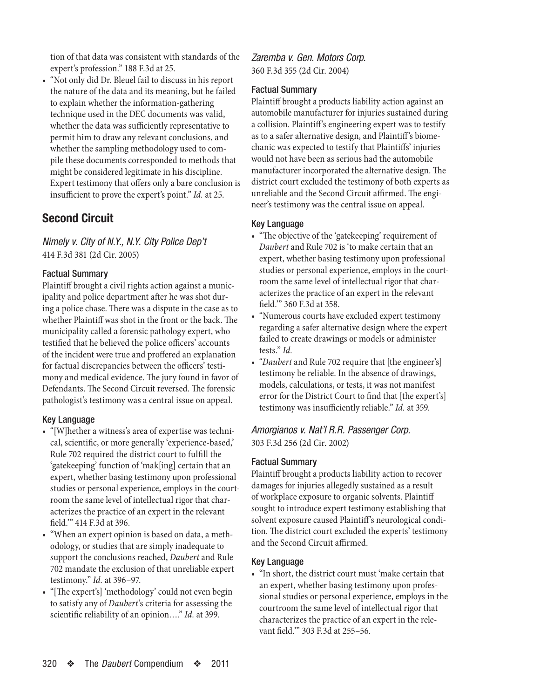<span id="page-3-0"></span>tion of that data was consistent with standards of the expert's profession." 188 F.3d at 25.

• "Not only did Dr. Bleuel fail to discuss in his report the nature of the data and its meaning, but he failed to explain whether the information-gathering technique used in the DEC documents was valid, whether the data was sufficiently representative to permit him to draw any relevant conclusions, and whether the sampling methodology used to compile these documents corresponded to methods that might be considered legitimate in his discipline. Expert testimony that offers only a bare conclusion is insufficient to prove the expert's point." *Id.* at 25.

# **Second Circuit**

*Nimely v. City of N.Y., N.Y. City Police Dep't* 414 F.3d 381 (2d Cir. 2005)

# Factual Summary

Plaintiff brought a civil rights action against a municipality and police department after he was shot during a police chase. There was a dispute in the case as to whether Plaintiff was shot in the front or the back. The municipality called a forensic pathology expert, who testified that he believed the police officers' accounts of the incident were true and proffered an explanation for factual discrepancies between the officers' testimony and medical evidence. The jury found in favor of Defendants. The Second Circuit reversed. The forensic pathologist's testimony was a central issue on appeal.

#### Key Language

- "[W]hether a witness's area of expertise was technical, scientific, or more generally 'experience-based,' Rule 702 required the district court to fulfill the 'gatekeeping' function of 'mak[ing] certain that an expert, whether basing testimony upon professional studies or personal experience, employs in the courtroom the same level of intellectual rigor that characterizes the practice of an expert in the relevant field.'" 414 F.3d at 396.
- • "When an expert opinion is based on data, a methodology, or studies that are simply inadequate to support the conclusions reached, *Daubert* and Rule 702 mandate the exclusion of that unreliable expert testimony." *Id.* at 396–97.
- • "[The expert's] 'methodology' could not even begin to satisfy any of *Daubert*'s criteria for assessing the scientific reliability of an opinion…." *Id.* at 399.

# *Zaremba v. Gen. Motors Corp.* 360 F.3d 355 (2d Cir. 2004)

#### Factual Summary

Plaintiff brought a products liability action against an automobile manufacturer for injuries sustained during a collision. Plaintiff's engineering expert was to testify as to a safer alternative design, and Plaintiff's biomechanic was expected to testify that Plaintiffs' injuries would not have been as serious had the automobile manufacturer incorporated the alternative design. The district court excluded the testimony of both experts as unreliable and the Second Circuit affirmed. The engineer's testimony was the central issue on appeal.

#### Key Language

- "The objective of the 'gatekeeping' requirement of *Daubert* and Rule 702 is 'to make certain that an expert, whether basing testimony upon professional studies or personal experience, employs in the courtroom the same level of intellectual rigor that characterizes the practice of an expert in the relevant field.'" 360 F.3d at 358.
- • "Numerous courts have excluded expert testimony regarding a safer alternative design where the expert failed to create drawings or models or administer tests." *Id.*
- "*Daubert* and Rule 702 require that [the engineer's] testimony be reliable. In the absence of drawings, models, calculations, or tests, it was not manifest error for the District Court to find that [the expert's] testimony was insufficiently reliable." *Id.* at 359.

# *Amorgianos v. Nat'l R.R. Passenger Corp.* 303 F.3d 256 (2d Cir. 2002)

#### Factual Summary

Plaintiff brought a products liability action to recover damages for injuries allegedly sustained as a result of workplace exposure to organic solvents. Plaintiff sought to introduce expert testimony establishing that solvent exposure caused Plaintiff's neurological condition. The district court excluded the experts' testimony and the Second Circuit affirmed.

#### Key Language

• "In short, the district court must 'make certain that an expert, whether basing testimony upon professional studies or personal experience, employs in the courtroom the same level of intellectual rigor that characterizes the practice of an expert in the relevant field.'" 303 F.3d at 255–56.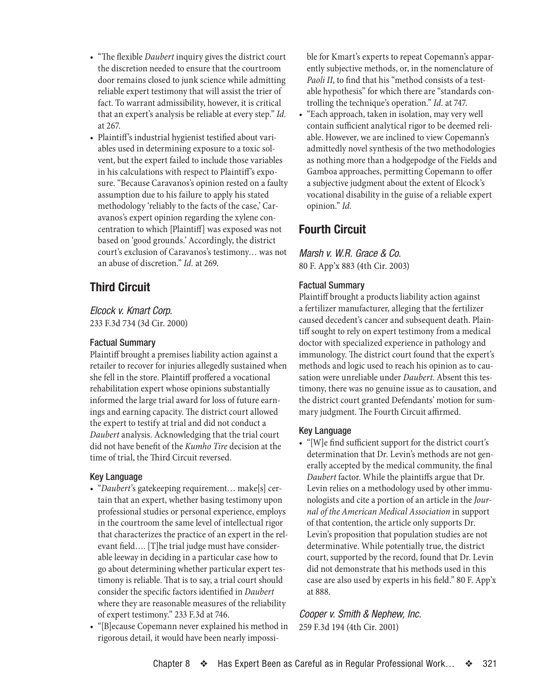- <span id="page-4-0"></span>• "The flexible *Daubert* inquiry gives the district court the discretion needed to ensure that the courtroom door remains closed to junk science while admitting reliable expert testimony that will assist the trier of fact. To warrant admissibility, however, it is critical that an expert's analysis be reliable at every step." *Id.* at 267.
- Plaintiff's industrial hygienist testified about variables used in determining exposure to a toxic solvent, but the expert failed to include those variables in his calculations with respect to Plaintiff's exposure. "Because Caravanos's opinion rested on a faulty assumption due to his failure to apply his stated methodology 'reliably to the facts of the case,' Caravanos's expert opinion regarding the xylene concentration to which [Plaintiff] was exposed was not based on 'good grounds.' Accordingly, the district court's exclusion of Caravanos's testimony… was not an abuse of discretion." *Id.* at 269.

# **Third Circuit**

*Elcock v. Kmart Corp.* 233 F.3d 734 (3d Cir. 2000)

#### Factual Summary

Plaintiff brought a premises liability action against a retailer to recover for injuries allegedly sustained when she fell in the store. Plaintiff proffered a vocational rehabilitation expert whose opinions substantially informed the large trial award for loss of future earnings and earning capacity. The district court allowed the expert to testify at trial and did not conduct a *Daubert* analysis. Acknowledging that the trial court did not have benefit of the *Kumho Tire* decision at the time of trial, the Third Circuit reversed.

# Key Language

- • "*Daubert*'s gatekeeping requirement… make[s] certain that an expert, whether basing testimony upon professional studies or personal experience, employs in the courtroom the same level of intellectual rigor that characterizes the practice of an expert in the relevant field…. [T]he trial judge must have considerable leeway in deciding in a particular case how to go about determining whether particular expert testimony is reliable. That is to say, a trial court should consider the specific factors identified in *Daubert* where they are reasonable measures of the reliability of expert testimony." 233 F.3d at 746.
- • "[B]ecause Copemann never explained his method in rigorous detail, it would have been nearly impossi-

ble for Kmart's experts to repeat Copemann's apparently subjective methods, or, in the nomenclature of *Paoli II*, to find that his "method consists of a testable hypothesis" for which there are "standards controlling the technique's operation." *Id.* at 747.

• "Each approach, taken in isolation, may very well contain sufficient analytical rigor to be deemed reliable. However, we are inclined to view Copemann's admittedly novel synthesis of the two methodologies as nothing more than a hodgepodge of the Fields and Gamboa approaches, permitting Copemann to offer a subjective judgment about the extent of Elcock's vocational disability in the guise of a reliable expert opinion." *Id.*

# **Fourth Circuit**

*Marsh v. W.R. Grace & Co.* 80 F. App'x 883 (4th Cir. 2003)

# Factual Summary

Plaintiff brought a products liability action against a fertilizer manufacturer, alleging that the fertilizer caused decedent's cancer and subsequent death. Plaintiff sought to rely on expert testimony from a medical doctor with specialized experience in pathology and immunology. The district court found that the expert's methods and logic used to reach his opinion as to causation were unreliable under *Daubert*. Absent this testimony, there was no genuine issue as to causation, and the district court granted Defendants' motion for summary judgment. The Fourth Circuit affirmed.

# Key Language

• "[W]e find sufficient support for the district court's determination that Dr. Levin's methods are not generally accepted by the medical community, the final *Daubert* factor. While the plaintiffs argue that Dr. Levin relies on a methodology used by other immunologists and cite a portion of an article in the *Journal of the American Medical Association* in support of that contention, the article only supports Dr. Levin's proposition that population studies are not determinative. While potentially true, the district court, supported by the record, found that Dr. Levin did not demonstrate that his methods used in this case are also used by experts in his field." 80 F. App'x at 888.

*Cooper v. Smith & Nephew, Inc.* 259 F.3d 194 (4th Cir. 2001)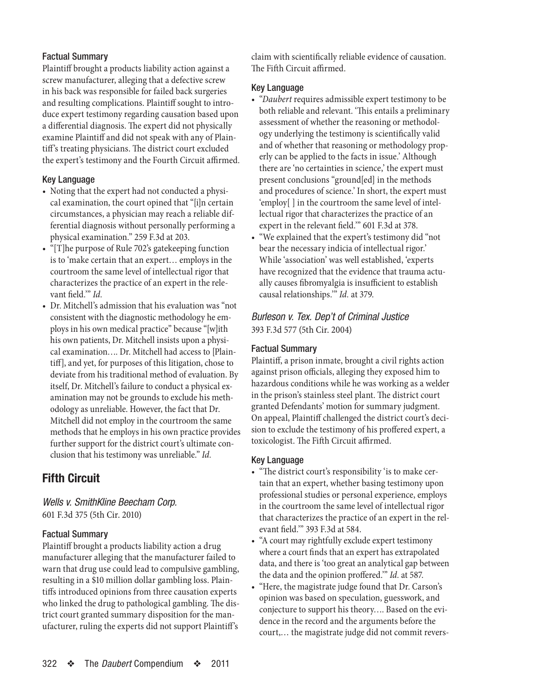# <span id="page-5-0"></span>Factual Summary

Plaintiff brought a products liability action against a screw manufacturer, alleging that a defective screw in his back was responsible for failed back surgeries and resulting complications. Plaintiff sought to introduce expert testimony regarding causation based upon a differential diagnosis. The expert did not physically examine Plaintiff and did not speak with any of Plaintiff's treating physicians. The district court excluded the expert's testimony and the Fourth Circuit affirmed.

# Key Language

- Noting that the expert had not conducted a physical examination, the court opined that "[i]n certain circumstances, a physician may reach a reliable differential diagnosis without personally performing a physical examination." 259 F.3d at 203.
- "[T]he purpose of Rule 702's gatekeeping function is to 'make certain that an expert… employs in the courtroom the same level of intellectual rigor that characterizes the practice of an expert in the relevant field.'" *Id.*
- Dr. Mitchell's admission that his evaluation was "not consistent with the diagnostic methodology he employs in his own medical practice" because "[w]ith his own patients, Dr. Mitchell insists upon a physical examination.... Dr. Mitchell had access to [Plaintiff], and yet, for purposes of this litigation, chose to deviate from his traditional method of evaluation. By itself, Dr. Mitchell's failure to conduct a physical examination may not be grounds to exclude his methodology as unreliable. However, the fact that Dr. Mitchell did not employ in the courtroom the same methods that he employs in his own practice provides further support for the district court's ultimate conclusion that his testimony was unreliable." *Id.*

# **Fifth Circuit**

*Wells v. SmithKline Beecham Corp.* 601 F.3d 375 (5th Cir. 2010)

# Factual Summary

Plaintiff brought a products liability action a drug manufacturer alleging that the manufacturer failed to warn that drug use could lead to compulsive gambling, resulting in a \$10 million dollar gambling loss. Plaintiffs introduced opinions from three causation experts who linked the drug to pathological gambling. The district court granted summary disposition for the manufacturer, ruling the experts did not support Plaintiff's

claim with scientifically reliable evidence of causation. The Fifth Circuit affirmed.

#### Key Language

- • "*Daubert* requires admissible expert testimony to be both reliable and relevant. 'This entails a preliminary assessment of whether the reasoning or methodology underlying the testimony is scientifically valid and of whether that reasoning or methodology properly can be applied to the facts in issue.' Although there are 'no certainties in science,' the expert must present conclusions "ground[ed] in the methods and procedures of science.' In short, the expert must 'employ[ ] in the courtroom the same level of intellectual rigor that characterizes the practice of an expert in the relevant field.'" 601 F.3d at 378.
- "We explained that the expert's testimony did "not" bear the necessary indicia of intellectual rigor.' While 'association' was well established, 'experts have recognized that the evidence that trauma actually causes fibromyalgia is insufficient to establish causal relationships.'" *Id.* at 379.

# *Burleson v. Tex. Dep't of Criminal Justice* 393 F.3d 577 (5th Cir. 2004)

# Factual Summary

Plaintiff, a prison inmate, brought a civil rights action against prison officials, alleging they exposed him to hazardous conditions while he was working as a welder in the prison's stainless steel plant. The district court granted Defendants' motion for summary judgment. On appeal, Plaintiff challenged the district court's decision to exclude the testimony of his proffered expert, a toxicologist. The Fifth Circuit affirmed.

# Key Language

- "The district court's responsibility 'is to make certain that an expert, whether basing testimony upon professional studies or personal experience, employs in the courtroom the same level of intellectual rigor that characterizes the practice of an expert in the relevant field.'" 393 F.3d at 584.
- "A court may rightfully exclude expert testimony where a court finds that an expert has extrapolated data, and there is 'too great an analytical gap between the data and the opinion proffered.'" *Id.* at 587.
- "Here, the magistrate judge found that Dr. Carson's opinion was based on speculation, guesswork, and conjecture to support his theory…. Based on the evidence in the record and the arguments before the court,… the magistrate judge did not commit revers-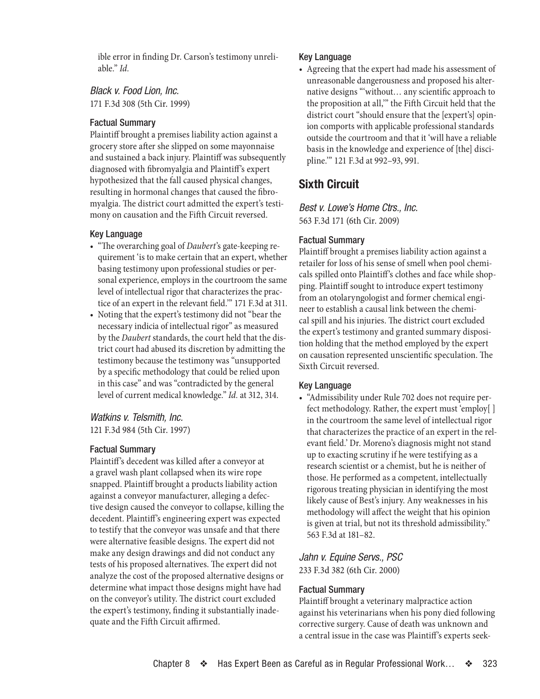<span id="page-6-0"></span>ible error in finding Dr. Carson's testimony unreliable." *Id.*

*Black v. Food Lion, Inc.* 171 F.3d 308 (5th Cir. 1999)

#### Factual Summary

Plaintiff brought a premises liability action against a grocery store after she slipped on some mayonnaise and sustained a back injury. Plaintiff was subsequently diagnosed with fibromyalgia and Plaintiff's expert hypothesized that the fall caused physical changes, resulting in hormonal changes that caused the fibromyalgia. The district court admitted the expert's testimony on causation and the Fifth Circuit reversed.

#### Key Language

- • "The overarching goal of *Daubert*'s gate-keeping requirement 'is to make certain that an expert, whether basing testimony upon professional studies or personal experience, employs in the courtroom the same level of intellectual rigor that characterizes the practice of an expert in the relevant field.'" 171 F.3d at 311.
- Noting that the expert's testimony did not "bear the necessary indicia of intellectual rigor" as measured by the *Daubert* standards, the court held that the district court had abused its discretion by admitting the testimony because the testimony was "unsupported by a specific methodology that could be relied upon in this case" and was "contradicted by the general level of current medical knowledge." *Id.* at 312, 314.

# *Watkins v. Telsmith, Inc.*

121 F.3d 984 (5th Cir. 1997)

# Factual Summary

Plaintiff's decedent was killed after a conveyor at a gravel wash plant collapsed when its wire rope snapped. Plaintiff brought a products liability action against a conveyor manufacturer, alleging a defective design caused the conveyor to collapse, killing the decedent. Plaintiff's engineering expert was expected to testify that the conveyor was unsafe and that there were alternative feasible designs. The expert did not make any design drawings and did not conduct any tests of his proposed alternatives. The expert did not analyze the cost of the proposed alternative designs or determine what impact those designs might have had on the conveyor's utility. The district court excluded the expert's testimony, finding it substantially inadequate and the Fifth Circuit affirmed.

#### Key Language

• Agreeing that the expert had made his assessment of unreasonable dangerousness and proposed his alternative designs "'without… any scientific approach to the proposition at all,'" the Fifth Circuit held that the district court "should ensure that the [expert's] opinion comports with applicable professional standards outside the courtroom and that it 'will have a reliable basis in the knowledge and experience of [the] discipline.'" 121 F.3d at 992–93, 991.

# **Sixth Circuit**

*Best v. Lowe's Home Ctrs., Inc.* 563 F.3d 171 (6th Cir. 2009)

#### Factual Summary

Plaintiff brought a premises liability action against a retailer for loss of his sense of smell when pool chemicals spilled onto Plaintiff's clothes and face while shopping. Plaintiff sought to introduce expert testimony from an otolaryngologist and former chemical engineer to establish a causal link between the chemical spill and his injuries. The district court excluded the expert's testimony and granted summary disposition holding that the method employed by the expert on causation represented unscientific speculation. The Sixth Circuit reversed.

#### Key Language

• "Admissibility under Rule 702 does not require perfect methodology. Rather, the expert must 'employ[ ] in the courtroom the same level of intellectual rigor that characterizes the practice of an expert in the relevant field.' Dr. Moreno's diagnosis might not stand up to exacting scrutiny if he were testifying as a research scientist or a chemist, but he is neither of those. He performed as a competent, intellectually rigorous treating physician in identifying the most likely cause of Best's injury. Any weaknesses in his methodology will affect the weight that his opinion is given at trial, but not its threshold admissibility." 563 F.3d at 181–82.

# *Jahn v. Equine Servs., PSC* 233 F.3d 382 (6th Cir. 2000)

# Factual Summary

Plaintiff brought a veterinary malpractice action against his veterinarians when his pony died following corrective surgery. Cause of death was unknown and a central issue in the case was Plaintiff's experts seek-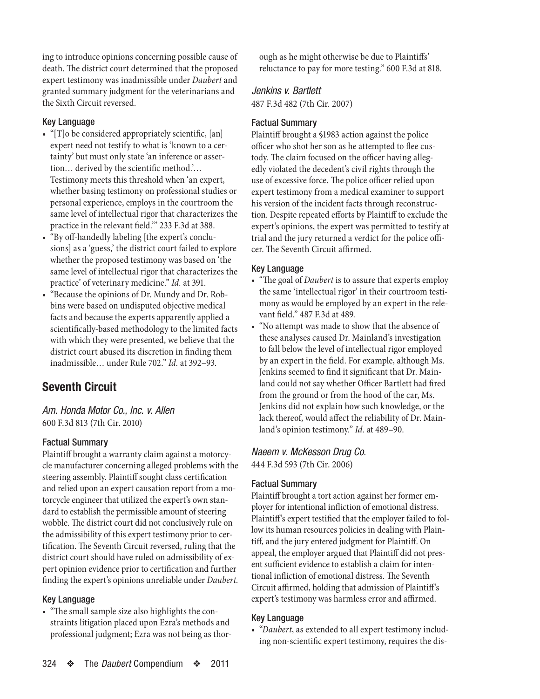<span id="page-7-0"></span>ing to introduce opinions concerning possible cause of death. The district court determined that the proposed expert testimony was inadmissible under *Daubert* and granted summary judgment for the veterinarians and the Sixth Circuit reversed.

#### Key Language

- "[T]o be considered appropriately scientific, [an] expert need not testify to what is 'known to a certainty' but must only state 'an inference or assertion… derived by the scientific method.'… Testimony meets this threshold when 'an expert, whether basing testimony on professional studies or personal experience, employs in the courtroom the same level of intellectual rigor that characterizes the practice in the relevant field.'" 233 F.3d at 388.
- • "By off-handedly labeling [the expert's conclusions] as a 'guess,' the district court failed to explore whether the proposed testimony was based on 'the same level of intellectual rigor that characterizes the practice' of veterinary medicine." *Id.* at 391.
- • "Because the opinions of Dr. Mundy and Dr. Robbins were based on undisputed objective medical facts and because the experts apparently applied a scientifically-based methodology to the limited facts with which they were presented, we believe that the district court abused its discretion in finding them inadmissible… under Rule 702." *Id.* at 392–93.

# **Seventh Circuit**

*Am. Honda Motor Co., Inc. v. Allen* 600 F.3d 813 (7th Cir. 2010)

# Factual Summary

Plaintiff brought a warranty claim against a motorcycle manufacturer concerning alleged problems with the steering assembly. Plaintiff sought class certification and relied upon an expert causation report from a motorcycle engineer that utilized the expert's own standard to establish the permissible amount of steering wobble. The district court did not conclusively rule on the admissibility of this expert testimony prior to certification. The Seventh Circuit reversed, ruling that the district court should have ruled on admissibility of expert opinion evidence prior to certification and further finding the expert's opinions unreliable under *Daubert*.

#### Key Language

• "The small sample size also highlights the constraints litigation placed upon Ezra's methods and professional judgment; Ezra was not being as thor-

324 ❖ The *Daubert* Compendium ❖ 2011

ough as he might otherwise be due to Plaintiffs' reluctance to pay for more testing." 600 F.3d at 818.

# *Jenkins v. Bartlett*

487 F.3d 482 (7th Cir. 2007)

#### Factual Summary

Plaintiff brought a §1983 action against the police officer who shot her son as he attempted to flee custody. The claim focused on the officer having allegedly violated the decedent's civil rights through the use of excessive force. The police officer relied upon expert testimony from a medical examiner to support his version of the incident facts through reconstruction. Despite repeated efforts by Plaintiff to exclude the expert's opinions, the expert was permitted to testify at trial and the jury returned a verdict for the police officer. The Seventh Circuit affirmed.

#### Key Language

- • "The goal of *Daubert* is to assure that experts employ the same 'intellectual rigor' in their courtroom testimony as would be employed by an expert in the relevant field." 487 F.3d at 489.
- "No attempt was made to show that the absence of these analyses caused Dr. Mainland's investigation to fall below the level of intellectual rigor employed by an expert in the field. For example, although Ms. Jenkins seemed to find it significant that Dr. Mainland could not say whether Officer Bartlett had fired from the ground or from the hood of the car, Ms. Jenkins did not explain how such knowledge, or the lack thereof, would affect the reliability of Dr. Mainland's opinion testimony." *Id.* at 489–90.

*Naeem v. McKesson Drug Co.* 444 F.3d 593 (7th Cir. 2006)

#### Factual Summary

Plaintiff brought a tort action against her former employer for intentional infliction of emotional distress. Plaintiff's expert testified that the employer failed to follow its human resources policies in dealing with Plaintiff, and the jury entered judgment for Plaintiff. On appeal, the employer argued that Plaintiff did not present sufficient evidence to establish a claim for intentional infliction of emotional distress. The Seventh Circuit affirmed, holding that admission of Plaintiff's expert's testimony was harmless error and affirmed.

#### Key Language

• "*Daubert*, as extended to all expert testimony including non-scientific expert testimony, requires the dis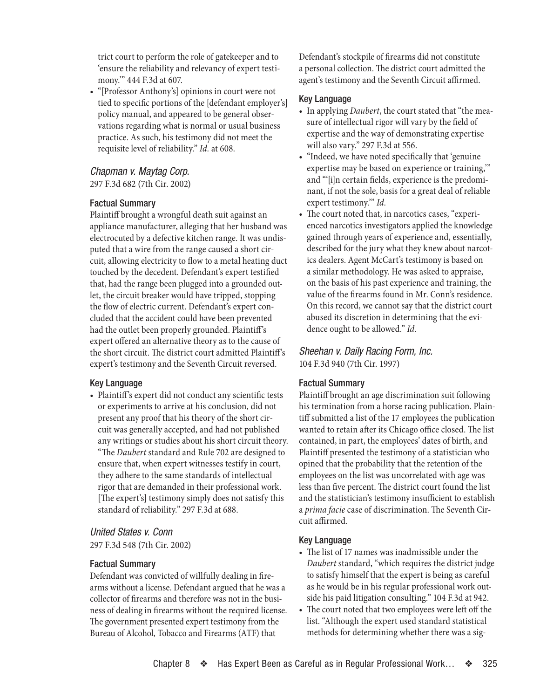<span id="page-8-0"></span>trict court to perform the role of gatekeeper and to 'ensure the reliability and relevancy of expert testimony.'" 444 F.3d at 607.

• "[Professor Anthony's] opinions in court were not tied to specific portions of the [defendant employer's] policy manual, and appeared to be general observations regarding what is normal or usual business practice. As such, his testimony did not meet the requisite level of reliability." *Id.* at 608.

# *Chapman v. Maytag Corp.*

297 F.3d 682 (7th Cir. 2002)

# Factual Summary

Plaintiff brought a wrongful death suit against an appliance manufacturer, alleging that her husband was electrocuted by a defective kitchen range. It was undisputed that a wire from the range caused a short circuit, allowing electricity to flow to a metal heating duct touched by the decedent. Defendant's expert testified that, had the range been plugged into a grounded outlet, the circuit breaker would have tripped, stopping the flow of electric current. Defendant's expert concluded that the accident could have been prevented had the outlet been properly grounded. Plaintiff's expert offered an alternative theory as to the cause of the short circuit. The district court admitted Plaintiff's expert's testimony and the Seventh Circuit reversed.

# Key Language

• Plaintiff's expert did not conduct any scientific tests or experiments to arrive at his conclusion, did not present any proof that his theory of the short circuit was generally accepted, and had not published any writings or studies about his short circuit theory. "The *Daubert* standard and Rule 702 are designed to ensure that, when expert witnesses testify in court, they adhere to the same standards of intellectual rigor that are demanded in their professional work. [The expert's] testimony simply does not satisfy this standard of reliability." 297 F.3d at 688.

# *United States v. Conn*

297 F.3d 548 (7th Cir. 2002)

#### Factual Summary

Defendant was convicted of willfully dealing in firearms without a license. Defendant argued that he was a collector of firearms and therefore was not in the business of dealing in firearms without the required license. The government presented expert testimony from the Bureau of Alcohol, Tobacco and Firearms (ATF) that

Defendant's stockpile of firearms did not constitute a personal collection. The district court admitted the agent's testimony and the Seventh Circuit affirmed.

#### Key Language

- In applying *Daubert*, the court stated that "the measure of intellectual rigor will vary by the field of expertise and the way of demonstrating expertise will also vary." 297 F.3d at 556.
- "Indeed, we have noted specifically that 'genuine expertise may be based on experience or training,'" and "'[i]n certain fields, experience is the predominant, if not the sole, basis for a great deal of reliable expert testimony.'" *Id.*
- The court noted that, in narcotics cases, "experienced narcotics investigators applied the knowledge gained through years of experience and, essentially, described for the jury what they knew about narcotics dealers. Agent McCart's testimony is based on a similar methodology. He was asked to appraise, on the basis of his past experience and training, the value of the firearms found in Mr. Conn's residence. On this record, we cannot say that the district court abused its discretion in determining that the evidence ought to be allowed." *Id.*

# *Sheehan v. Daily Racing Form, Inc.* 104 F.3d 940 (7th Cir. 1997)

# Factual Summary

Plaintiff brought an age discrimination suit following his termination from a horse racing publication. Plaintiff submitted a list of the 17 employees the publication wanted to retain after its Chicago office closed. The list contained, in part, the employees' dates of birth, and Plaintiff presented the testimony of a statistician who opined that the probability that the retention of the employees on the list was uncorrelated with age was less than five percent. The district court found the list and the statistician's testimony insufficient to establish a *prima facie* case of discrimination. The Seventh Circuit affirmed.

#### Key Language

- The list of 17 names was inadmissible under the *Daubert* standard, "which requires the district judge to satisfy himself that the expert is being as careful as he would be in his regular professional work outside his paid litigation consulting." 104 F.3d at 942.
- The court noted that two employees were left off the list. "Although the expert used standard statistical methods for determining whether there was a sig-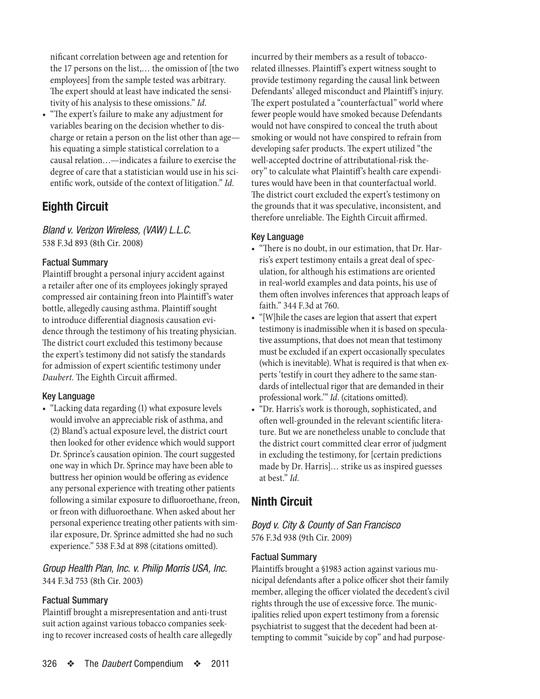<span id="page-9-0"></span>nificant correlation between age and retention for the 17 persons on the list,… the omission of [the two employees] from the sample tested was arbitrary. The expert should at least have indicated the sensitivity of his analysis to these omissions." *Id.*

• "The expert's failure to make any adjustment for variables bearing on the decision whether to discharge or retain a person on the list other than age his equating a simple statistical correlation to a causal relation…—indicates a failure to exercise the degree of care that a statistician would use in his scientific work, outside of the context of litigation." *Id.*

# **Eighth Circuit**

*Bland v. Verizon Wireless, (VAW) L.L.C.* 538 F.3d 893 (8th Cir. 2008)

# Factual Summary

Plaintiff brought a personal injury accident against a retailer after one of its employees jokingly sprayed compressed air containing freon into Plaintiff's water bottle, allegedly causing asthma. Plaintiff sought to introduce differential diagnosis causation evidence through the testimony of his treating physician. The district court excluded this testimony because the expert's testimony did not satisfy the standards for admission of expert scientific testimony under *Daubert*. The Eighth Circuit affirmed.

# Key Language

• "Lacking data regarding (1) what exposure levels would involve an appreciable risk of asthma, and (2) Bland's actual exposure level, the district court then looked for other evidence which would support Dr. Sprince's causation opinion. The court suggested one way in which Dr. Sprince may have been ableto buttress her opinion would be offering as evidence any personal experience with treating other patients following a similar exposure to difluoroethane, freon, or freon with difluoroethane. When asked about her personal experience treating other patients with similar exposure, Dr. Sprince admitted she had no such experience." 538 F.3d at 898 (citations omitted).

# *Group Health Plan, Inc. v. Philip Morris USA, Inc.* 344 F.3d 753 (8th Cir. 2003)

# Factual Summary

Plaintiff brought a misrepresentation and anti-trust suit action against various tobacco companies seeking to recover increased costs of health care allegedly incurred by their members as a result of tobaccorelated illnesses. Plaintiff's expert witness sought to provide testimony regarding the causal link between Defendants' alleged misconduct and Plaintiff's injury. The expert postulated a "counterfactual" world where fewer people would have smoked because Defendants would not have conspired to conceal the truth about smoking or would not have conspired to refrain from developing safer products. The expert utilized "the well-accepted doctrine of attributational-risk theory" to calculate what Plaintiff's health care expenditures would have been in that counterfactual world. The district court excluded the expert's testimony on the grounds that it was speculative, inconsistent, and therefore unreliable. The Eighth Circuit affirmed.

# Key Language

- "There is no doubt, in our estimation, that Dr. Harris's expert testimony entails a great deal of speculation, for although his estimations are oriented in real-world examples and data points, his use of them often involves inferences that approach leaps of faith." 344 F.3d at 760.
- "[W]hile the cases are legion that assert that expert testimony is inadmissible when it is based on speculative assumptions, that does not mean that testimony must be excluded if an expert occasionally speculates (which is inevitable). What is required is that when experts 'testify in court they adhere to the same standards of intellectual rigor that are demanded in their professional work.'" *Id.* (citations omitted).
- "Dr. Harris's work is thorough, sophisticated, and often well-grounded in the relevant scientific literature. But we are nonetheless unable to conclude that the district court committed clear error of judgment in excluding the testimony, for [certain predictions made by Dr. Harris]… strike us as inspired guesses at best." *Id.*

# **Ninth Circuit**

*Boyd v. City & County of San Francisco* 576 F.3d 938 (9th Cir. 2009)

# Factual Summary

Plaintiffs brought a §1983 action against various municipal defendants after a police officer shot their family member, alleging the officer violated the decedent's civil rights through the use of excessive force. The municipalities relied upon expert testimony from a forensic psychiatrist to suggest that the decedent had been attempting to commit "suicide by cop" and had purpose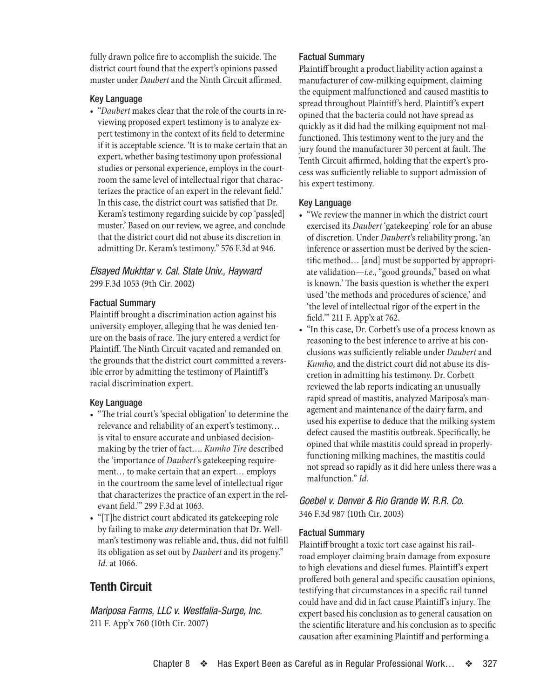<span id="page-10-0"></span>fully drawn police fire to accomplish the suicide. The district court found that the expert's opinions passed muster under *Daubert* and the Ninth Circuit affirmed.

#### Key Language

• "*Daubert* makes clear that the role of the courts in reviewing proposed expert testimony is to analyze expert testimony in the context of its field to determine if it is acceptable science. 'It is to make certain that an expert, whether basing testimony upon professional studies or personal experience, employs in the courtroom the same level of intellectual rigor that characterizes the practice of an expert in the relevant field.' In this case, the district court was satisfied that Dr. Keram's testimony regarding suicide by cop 'pass[ed] muster.' Based on our review, we agree, and conclude that the district court did not abuse its discretion in admitting Dr. Keram's testimony." 576 F.3d at 946.

# *Elsayed Mukhtar v. Cal. State Univ., Hayward* 299 F.3d 1053 (9th Cir. 2002)

#### Factual Summary

Plaintiff brought a discrimination action against his university employer, alleging that he was denied tenure on the basis of race. The jury entered a verdict for Plaintiff. The Ninth Circuit vacated and remanded on the grounds that the district court committed a reversible error by admitting the testimony of Plaintiff's racial discrimination expert.

# Key Language

- "The trial court's 'special obligation' to determine the relevance and reliability of an expert's testimony… is vital to ensure accurate and unbiased decisionmaking by the trier of fact…. *Kumho Tire* described the 'importance of *Daubert*'s gatekeeping requirement… to make certain that an expert… employs in the courtroom the same level of intellectual rigor that characterizes the practice of an expert in the relevant field.'" 299 F.3d at 1063.
- "[T]he district court abdicated its gatekeeping role by failing to make *any* determination that Dr. Wellman's testimony was reliable and, thus, did not fulfill its obligation as set out by *Daubert* and its progeny." *Id.* at 1066.

# **Tenth Circuit**

*Mariposa Farms, LLC v. Westfalia-Surge, Inc.* 211 F. App'x 760 (10th Cir. 2007)

#### Factual Summary

Plaintiff brought a product liability action against a manufacturer of cow-milking equipment, claiming the equipment malfunctioned and caused mastitis to spread throughout Plaintiff's herd. Plaintiff's expert opined that the bacteria could not have spread as quickly as it did had the milking equipment not malfunctioned. This testimony went to the jury and the jury found the manufacturer 30 percent at fault. The Tenth Circuit affirmed, holding that the expert's process was sufficiently reliable to support admission of his expert testimony.

#### Key Language

- • "We review the manner in which the district court exercised its *Daubert* 'gatekeeping' role for an abuse of discretion. Under *Daubert*'s reliability prong, 'an inference or assertion must be derived by the scientific method… [and] must be supported by appropriate validation—*i.e.*, "good grounds," based on what is known.' The basis question is whether the expert used 'the methods and procedures of science,' and 'the level of intellectual rigor of the expert in the field.'" 211 F. App'x at 762.
- • "In this case, Dr. Corbett's use of a process known as reasoning to the best inference to arrive at his conclusions was sufficiently reliable under *Daubert* and *Kumho*, and the district court did not abuse its discretion in admitting his testimony. Dr. Corbett reviewed the lab reports indicating an unusually rapid spread of mastitis, analyzed Mariposa's management and maintenance of the dairy farm, and used his expertise to deduce that the milking system defect caused the mastitis outbreak. Specifically, he opined that while mastitis could spread in properlyfunctioning milking machines, the mastitis could not spread so rapidly as it did here unless there was a malfunction." *Id.*

# *Goebel v. Denver & Rio Grande W. R.R. Co.* 346 F.3d 987 (10th Cir. 2003)

# Factual Summary

Plaintiff brought a toxic tort case against his railroad employer claiming brain damage from exposure to high elevations and diesel fumes. Plaintiff's expert proffered both general and specific causation opinions, testifying that circumstances in a specific rail tunnel could have and did in fact cause Plaintiff's injury. The expert based his conclusion as to general causation on the scientific literature and his conclusion as to specific causation after examining Plaintiff and performing a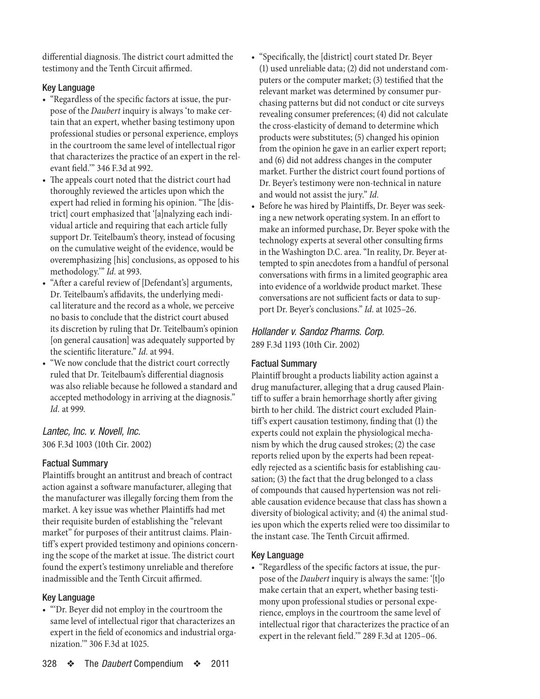<span id="page-11-0"></span>differential diagnosis. The district court admitted the testimony and the Tenth Circuit affirmed.

# Key Language

- "Regardless of the specific factors at issue, the purpose of the *Daubert* inquiry is always 'to make certain that an expert, whether basing testimony upon professional studies or personal experience, employs in the courtroom the same level of intellectual rigor that characterizes the practice of an expert in the relevant field.'" 346 F.3d at 992.
- The appeals court noted that the district court had thoroughly reviewed the articles upon which the expert had relied in forming his opinion. "The [district] court emphasized that '[a]nalyzing each individual article and requiring that each article fully support Dr. Teitelbaum's theory, instead of focusing on the cumulative weight of the evidence, would be overemphasizing [his] conclusions, as opposed to his methodology.'" *Id.* at 993.
- "After a careful review of [Defendant's] arguments, Dr. Teitelbaum's affidavits, the underlying medical literature and the record as a whole, we perceive no basis to conclude that the district court abused its discretion by ruling that Dr. Teitelbaum's opinion [on general causation] was adequately supported by the scientific literature." *Id.* at 994.
- "We now conclude that the district court correctly ruled that Dr. Teitelbaum's differential diagnosis was also reliable because he followed a standard and accepted methodology in arriving at the diagnosis." *Id.* at 999.

# *Lantec, Inc. v. Novell, Inc.* 306 F.3d 1003 (10th Cir. 2002)

# Factual Summary

Plaintiffs brought an antitrust and breach of contract action against a software manufacturer, alleging that the manufacturer was illegally forcing them from the market. A key issue was whether Plaintiffs had met their requisite burden of establishing the "relevant market" for purposes of their antitrust claims. Plaintiff's expert provided testimony and opinions concerning the scope of the market at issue. The district court found the expert's testimony unreliable and therefore inadmissible and the Tenth Circuit affirmed.

# Key Language

• "'Dr. Beyer did not employ in the courtroom the same level of intellectual rigor that characterizes an expert in the field of economics and industrial organization.'" 306 F.3d at 1025.

- • "Specifically, the [district] court stated Dr. Beyer (1) used unreliable data; (2) did not understand computers or the computer market; (3) testified that the relevant market was determined by consumer purchasing patterns but did not conduct or cite surveys revealing consumer preferences; (4) did not calculate the cross-elasticity of demand to determine which products were substitutes; (5) changed his opinion from the opinion he gave in an earlier expert report; and (6) did not address changes in the computer market. Further the district court found portions of Dr. Beyer's testimony were non-technical in nature and would not assist the jury." *Id.*
	- • Before he was hired by Plaintiffs, Dr. Beyer was seeking a new network operating system. In an effort to make an informed purchase, Dr. Beyer spoke with the technology experts at several other consulting firms in the Washington D.C. area. "In reality, Dr. Beyer attempted to spin anecdotes from a handful of personal conversations with firms in a limited geographic area into evidence of a worldwide product market. These conversations are not sufficient facts or data to support Dr. Beyer's conclusions." *Id.* at 1025-26.

# *Hollander v. Sandoz Pharms. Corp.* 289 F.3d 1193 (10th Cir. 2002)

# Factual Summary

Plaintiff brought a products liability action against a drug manufacturer, alleging that a drug caused Plaintiff to suffer a brain hemorrhage shortly after giving birth to her child. The district court excluded Plaintiff's expert causation testimony, finding that (1) the experts could not explain the physiological mechanism by which the drug caused strokes; (2) the case reports relied upon by the experts had been repeatedly rejected as a scientific basis for establishing causation; (3) the fact that the drug belonged to a class of compounds that caused hypertension was not reliable causation evidence because that class has shown a diversity of biological activity; and (4) the animal studies upon which the experts relied were too dissimilar to the instant case. The Tenth Circuit affirmed.

# Key Language

• "Regardless of the specific factors at issue, the purpose of the *Daubert* inquiry is always the same: '[t]o make certain that an expert, whether basing testimony upon professional studies or personal experience, employs in the courtroom the same level of intellectual rigor that characterizes the practice of an expert in the relevant field.'" 289 F.3d at 1205–06.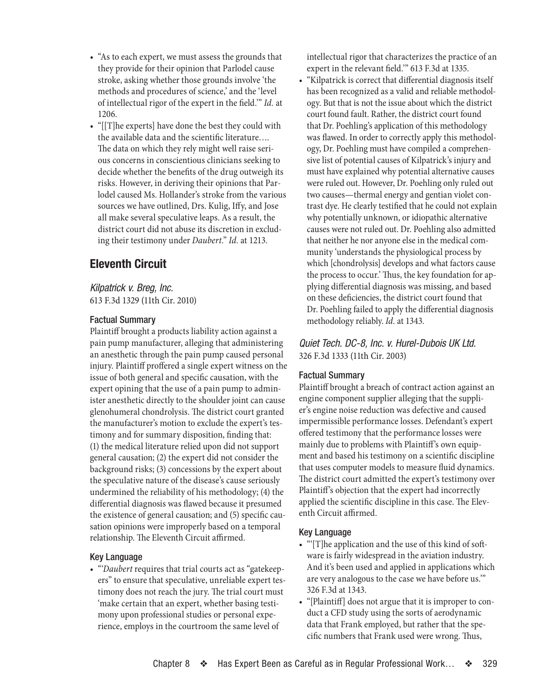- <span id="page-12-0"></span>• "As to each expert, we must assess the grounds that they provide for their opinion that Parlodel cause stroke, asking whether those grounds involve 'the methods and procedures of science,' and the 'level of intellectual rigor of the expert in the field.'" *Id.* at 1206.
- • "[[T]he experts] have done the best they could with the available data and the scientific literature…. The data on which they rely might well raise serious concerns in conscientious clinicians seeking to decide whether the benefits of the drug outweigh its risks. However, in deriving their opinions that Parlodel caused Ms. Hollander's stroke from the various sources we have outlined, Drs. Kulig, Iffy, and Jose all make several speculative leaps. As a result, the district court did not abuse its discretion in excluding their testimony under *Daubert*." *Id.* at 1213.

# **Eleventh Circuit**

*Kilpatrick v. Breg, Inc.* 613 F.3d 1329 (11th Cir. 2010)

# Factual Summary

Plaintiff brought a products liability action against a pain pump manufacturer, alleging that administering an anesthetic through the pain pump caused personal injury. Plaintiff proffered a single expert witness on the issue of both general and specific causation, with the expert opining that the use of a pain pump to administer anesthetic directly to the shoulder joint can cause glenohumeral chondrolysis. The district court granted the manufacturer's motion to exclude the expert's testimony and for summary disposition, finding that: (1) the medical literature relied upon did not support general causation; (2) the expert did not consider the background risks; (3) concessions by the expert about the speculative nature of the disease's cause seriously undermined the reliability of his methodology; (4) the differential diagnosis was flawed because it presumed the existence of general causation; and (5) specific causation opinions were improperly based on a temporal relationship. The Eleventh Circuit affirmed.

# Key Language

• "*Daubert* requires that trial courts act as "gatekeepers" to ensure that speculative, unreliable expert testimony does not reach the jury. The trial court must 'make certain that an expert, whether basing testimony upon professional studies or personal experience, employs in the courtroom the same level of

intellectual rigor that characterizes the practice of an expert in the relevant field.'" 613 F.3d at 1335.

• "Kilpatrick is correct that differential diagnosis itself has been recognized as a valid and reliable methodology. But that is not the issue about which the district court found fault. Rather, the district court found that Dr. Poehling's application of this methodology was flawed. In order to correctly apply this methodology, Dr. Poehling must have compiled a comprehensive list of potential causes of Kilpatrick's injury and must have explained why potential alternative causes were ruled out. However, Dr. Poehling only ruled out two causes—thermal energy and gentian violet contrast dye. He clearly testified that he could not explain why potentially unknown, or idiopathic alternative causes were not ruled out. Dr. Poehling also admitted that neither he nor anyone else in the medical community 'understands the physiological process by which [chondrolysis] develops and what factors cause the process to occur.' Thus, the key foundation for applying differential diagnosis was missing, and based on these deficiencies, the district court found that Dr. Poehling failed to apply the differential diagnosis methodology reliably. *Id.* at 1343.

*Quiet Tech. DC-8, Inc. v. Hurel-Dubois UK Ltd.* 326 F.3d 1333 (11th Cir. 2003)

#### Factual Summary

Plaintiff brought a breach of contract action against an engine component supplier alleging that the supplier's engine noise reduction was defective and caused impermissible performance losses. Defendant's expert offered testimony that the performance losses were mainly due to problems with Plaintiff's own equipment and based his testimony on a scientific discipline that uses computer models to measure fluid dynamics. The district court admitted the expert's testimony over Plaintiff's objection that the expert had incorrectly applied the scientific discipline in this case. The Eleventh Circuit affirmed.

#### Key Language

- "'[T]he application and the use of this kind of software is fairly widespread in the aviation industry. And it's been used and applied in applications which are very analogous to the case we have before us.'" 326 F.3d at 1343.
- "[Plaintiff] does not argue that it is improper to conduct a CFD study using the sorts of aerodynamic data that Frank employed, but rather that the specific numbers that Frank used were wrong. Thus,